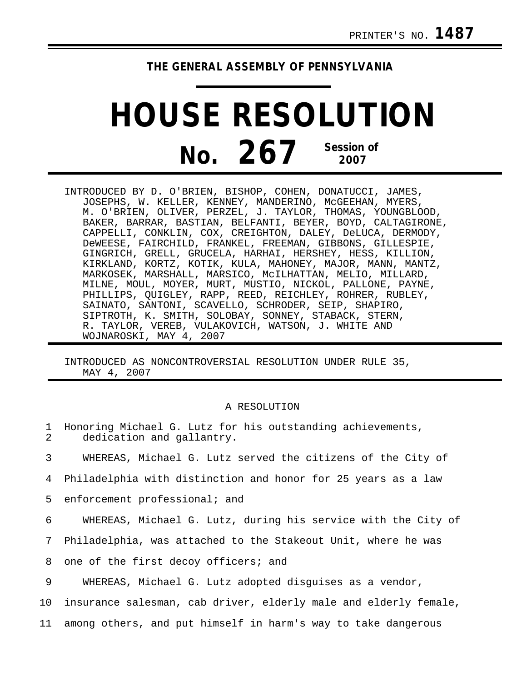## **THE GENERAL ASSEMBLY OF PENNSYLVANIA**

## **HOUSE RESOLUTION No. 267 Session of 2007**

INTRODUCED BY D. O'BRIEN, BISHOP, COHEN, DONATUCCI, JAMES, JOSEPHS, W. KELLER, KENNEY, MANDERINO, McGEEHAN, MYERS, M. O'BRIEN, OLIVER, PERZEL, J. TAYLOR, THOMAS, YOUNGBLOOD, BAKER, BARRAR, BASTIAN, BELFANTI, BEYER, BOYD, CALTAGIRONE, CAPPELLI, CONKLIN, COX, CREIGHTON, DALEY, DeLUCA, DERMODY, DeWEESE, FAIRCHILD, FRANKEL, FREEMAN, GIBBONS, GILLESPIE, GINGRICH, GRELL, GRUCELA, HARHAI, HERSHEY, HESS, KILLION, KIRKLAND, KORTZ, KOTIK, KULA, MAHONEY, MAJOR, MANN, MANTZ, MARKOSEK, MARSHALL, MARSICO, McILHATTAN, MELIO, MILLARD, MILNE, MOUL, MOYER, MURT, MUSTIO, NICKOL, PALLONE, PAYNE, PHILLIPS, QUIGLEY, RAPP, REED, REICHLEY, ROHRER, RUBLEY, SAINATO, SANTONI, SCAVELLO, SCHRODER, SEIP, SHAPIRO, SIPTROTH, K. SMITH, SOLOBAY, SONNEY, STABACK, STERN, R. TAYLOR, VEREB, VULAKOVICH, WATSON, J. WHITE AND WOJNAROSKI, MAY 4, 2007

INTRODUCED AS NONCONTROVERSIAL RESOLUTION UNDER RULE 35, MAY 4, 2007

## A RESOLUTION

| 1<br>$\mathcal{L}$ | Honoring Michael G. Lutz for his outstanding achievements,<br>dedication and gallantry. |
|--------------------|-----------------------------------------------------------------------------------------|
| 3                  | WHEREAS, Michael G. Lutz served the citizens of the City of                             |
| 4                  | Philadelphia with distinction and honor for 25 years as a law                           |
| 5                  | enforcement professional; and                                                           |
| 6                  | WHEREAS, Michael G. Lutz, during his service with the City of                           |
| 7                  | Philadelphia, was attached to the Stakeout Unit, where he was                           |
| 8                  | one of the first decoy officers; and                                                    |
| 9                  | WHEREAS, Michael G. Lutz adopted disguises as a vendor,                                 |
| 10                 | insurance salesman, cab driver, elderly male and elderly female,                        |
| 11                 | among others, and put himself in harm's way to take dangerous                           |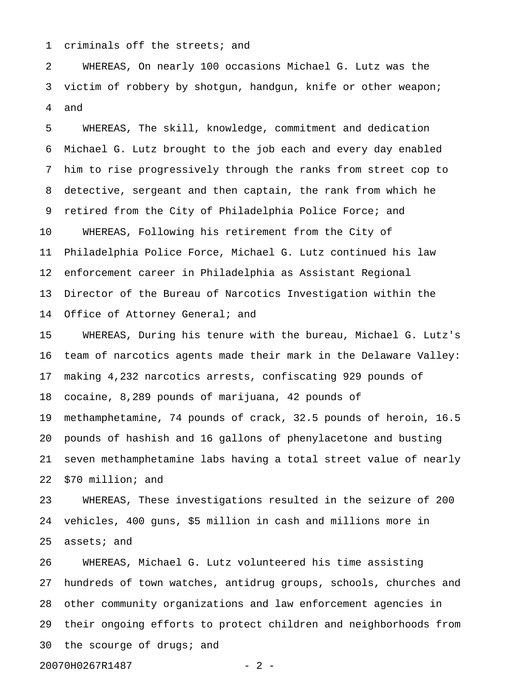1 criminals off the streets; and

2 WHEREAS, On nearly 100 occasions Michael G. Lutz was the 3 victim of robbery by shotgun, handgun, knife or other weapon; 4 and

5 WHEREAS, The skill, knowledge, commitment and dedication 6 Michael G. Lutz brought to the job each and every day enabled 7 him to rise progressively through the ranks from street cop to 8 detective, sergeant and then captain, the rank from which he 9 retired from the City of Philadelphia Police Force; and 10 WHEREAS, Following his retirement from the City of 11 Philadelphia Police Force, Michael G. Lutz continued his law 12 enforcement career in Philadelphia as Assistant Regional 13 Director of the Bureau of Narcotics Investigation within the 14 Office of Attorney General; and

15 WHEREAS, During his tenure with the bureau, Michael G. Lutz's 16 team of narcotics agents made their mark in the Delaware Valley: 17 making 4,232 narcotics arrests, confiscating 929 pounds of 18 cocaine, 8,289 pounds of marijuana, 42 pounds of 19 methamphetamine, 74 pounds of crack, 32.5 pounds of heroin, 16.5 20 pounds of hashish and 16 gallons of phenylacetone and busting 21 seven methamphetamine labs having a total street value of nearly 22 \$70 million; and

23 WHEREAS, These investigations resulted in the seizure of 200 24 vehicles, 400 guns, \$5 million in cash and millions more in 25 assets; and

26 WHEREAS, Michael G. Lutz volunteered his time assisting 27 hundreds of town watches, antidrug groups, schools, churches and 28 other community organizations and law enforcement agencies in 29 their ongoing efforts to protect children and neighborhoods from 30 the scourge of drugs; and

20070H0267R1487 - 2 -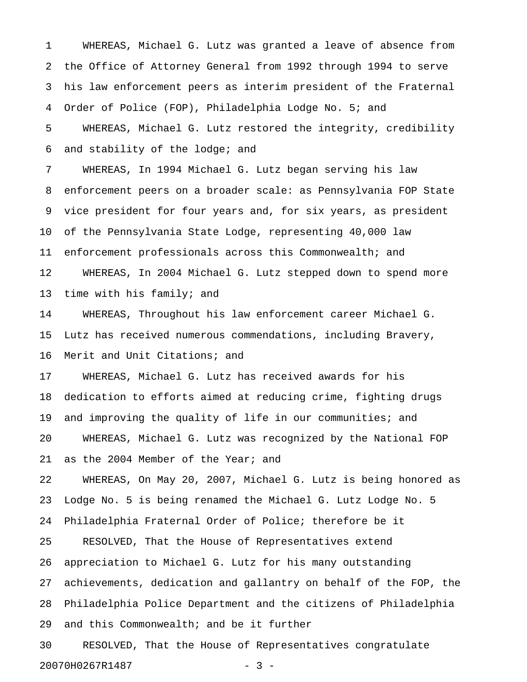1 WHEREAS, Michael G. Lutz was granted a leave of absence from 2 the Office of Attorney General from 1992 through 1994 to serve 3 his law enforcement peers as interim president of the Fraternal 4 Order of Police (FOP), Philadelphia Lodge No. 5; and 5 WHEREAS, Michael G. Lutz restored the integrity, credibility 6 and stability of the lodge; and

7 WHEREAS, In 1994 Michael G. Lutz began serving his law 8 enforcement peers on a broader scale: as Pennsylvania FOP State 9 vice president for four years and, for six years, as president 10 of the Pennsylvania State Lodge, representing 40,000 law 11 enforcement professionals across this Commonwealth; and 12 WHEREAS, In 2004 Michael G. Lutz stepped down to spend more 13 time with his family; and

14 WHEREAS, Throughout his law enforcement career Michael G. 15 Lutz has received numerous commendations, including Bravery, 16 Merit and Unit Citations; and

17 WHEREAS, Michael G. Lutz has received awards for his 18 dedication to efforts aimed at reducing crime, fighting drugs 19 and improving the quality of life in our communities; and 20 WHEREAS, Michael G. Lutz was recognized by the National FOP 21 as the 2004 Member of the Year; and

22 WHEREAS, On May 20, 2007, Michael G. Lutz is being honored as 23 Lodge No. 5 is being renamed the Michael G. Lutz Lodge No. 5 24 Philadelphia Fraternal Order of Police; therefore be it 25 RESOLVED, That the House of Representatives extend 26 appreciation to Michael G. Lutz for his many outstanding 27 achievements, dedication and gallantry on behalf of the FOP, the 28 Philadelphia Police Department and the citizens of Philadelphia 29 and this Commonwealth; and be it further

30 RESOLVED, That the House of Representatives congratulate 20070H0267R1487 - 3 -